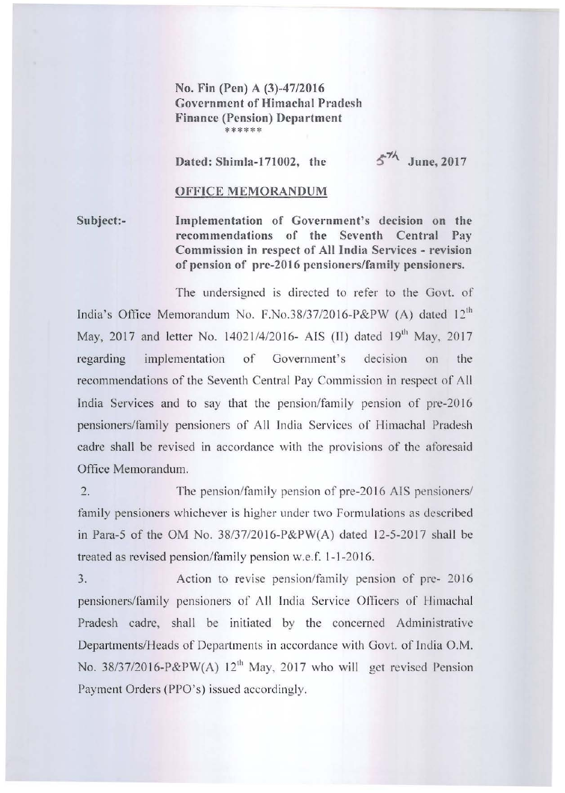No. Fin (Pen) A (3)-47/2016 **Government of Himachal Pradesh Finance (Pension) Department** \*\*\*\*\*\*

Dated: Shimla-171002, the

 $5\%$  June, 2017

## OFFICE MEMORANDUM

Subject:-Implementation of Government's decision on the **recommendations or the Seventh Central Pay Commission in respect of All Jndia Services - revision of pension of pre-2016 pensioners/family pensioners.** 

The undersigned is directed to refer to the Govt. of India's Office Memorandum No. F.No.38/37/2016-P&PW (A) dated 12<sup>th</sup> May, 2017 and letter No. 14021/4/2016- AIS (II) dated 19<sup>th</sup> May, 2017 regarding implementation of Government's decision on the recommendations of the Seventh Central Pay Commission in respect of All India Services and to say that the pension/family pension of pre-20 16 pensioners/family pensioners of All India Services of Himachal Pradesh cadre shall be revised in accordance with the provisions of the aforesaid Office Memorandum.

 $\overline{2}$ . The pension/family pension of pre-2016 AIS pensioners/ family pensioners whichever is higher under two Formulations as described in Para-5 of the OM No. 38137/2016-P&PW(A) dated 12-5-2017 shall be treated as revised pension/family pension w.e.f. 1-1-20 16.

 $3.$ Action to revise pension/family pension of pre- 2016 pensioners/family pensioners of All India Service Officers of Himachal Pradesh cadre, shall be initiated by the concerned Administrative Departments/Heads of Departments in accordance with Govt. of India O.M. No. 38/37/2016-P&PW(A)  $12<sup>th</sup>$  May, 2017 who will get revised Pension Payment Orders (PPO's) issued accordingly.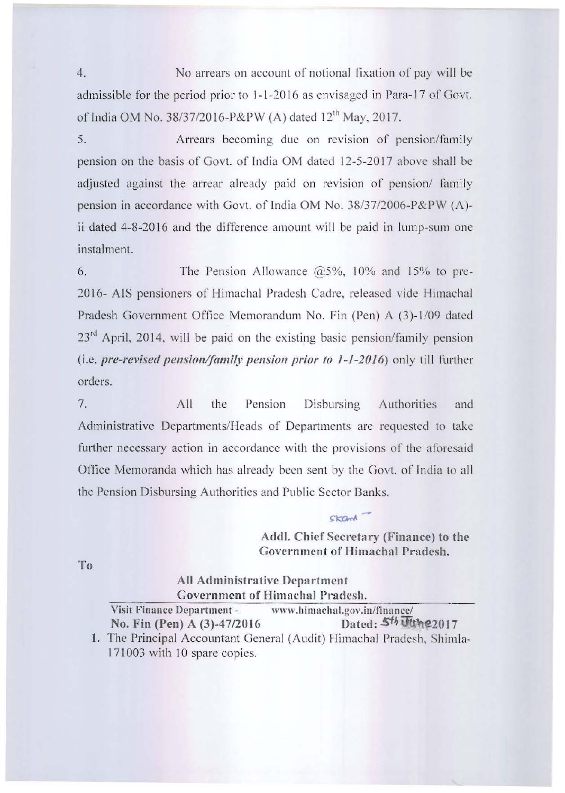4. No arrears on account of notional fixation of pay will be. admissible for the period prior to 1-1-2016 as envisaged in Para-17 of Govt. of India OM No. *38/37/2016-P&PW* (A) dated 12'" May, 2017.

5. Arrears becoming due on revision of pension/family pension on the basis of Gavt. of India OM dated 12-5-2017 above shall be adjusted against the arrear already paid on revision of pension/ family pension in accordance with Govt. of India OM No. 38/3712006-P&PW (A) ii dated 4-8-2016 and the difference amount will be paid in lump-sum one instalment.

6. The Pension Allowance  $\omega$ 5%, 10% and 15% to pre-2016- AIS pensioners of Himachal Pradesh Cadre, released vide Himachal Pradesh Government Ortiee Memorandum No. Fin (Pen) A *(3)- 1/09* dated  $23<sup>rd</sup>$  April, 2014, will be paid on the existing basic pension/family pension (i.e. pre-revised pension/family pension prior to 1-1-2016) only till further orders.

7. All the Pension Disbursing Authorities and Administrative Departments/Heads of Departments are requested to take further necessary action in accordance with the provisions of the aforesaid Office Memoranda which has already been sent by the Govt. of India to all the Pension Disbursing Authorities and Public Sector Banks.

> Addl. Chief Secretary (Finance) to the Government of Himachal Pradesh.

skand -

To

All Administrative Department \*\*\* Government of Himachal Pradesh.<br>Visit Finance Department - www.himachal.gov.in/finance/

No. Fin (Pen) A (3)-47/2016 Dated:  $5<sup>th</sup>$  Uthe2017 1. The Principal Accountant General (Audit) Himachal Pradesh, Shimla-

17 1003 with 10 spare copics.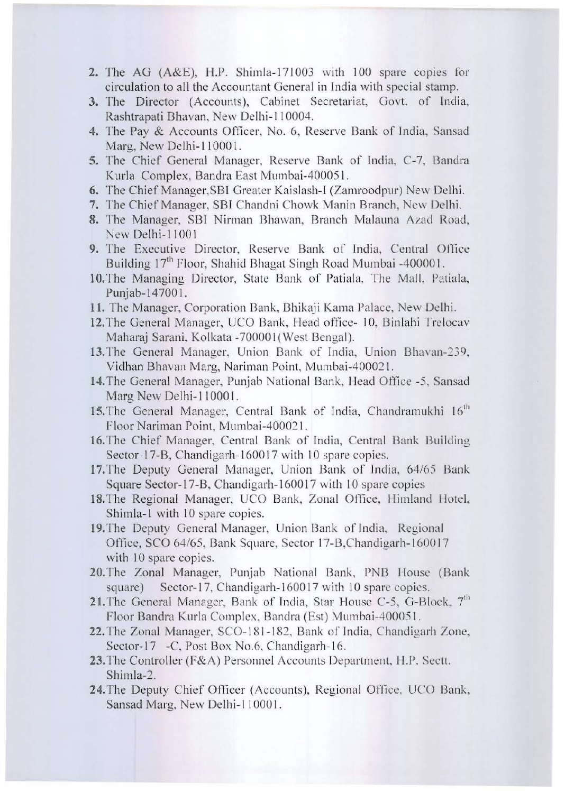- 2. The AG (A&E), H.P. Shimla-171003 with 100 spare copies for circulation to all the Accountant General in India with special stamp.
- 3. The Director (Accounts), Cabinet Secretariat, Govt. of India, Rashtrapati Bhavan, New Delhi-110004.
- 4. The Pay & Accounts Officer, No. 6, Reserve Bank of India, Sansad Marg. New Delhi-110001.
- 5. The Chief General Manager, Reserve Bank of India, C-7, Bandra Kurla Complex, Bandra East Mumbai-400051.
- 6. The Chief Manager, SBI Greater Kaislash-I (Zamroodpur) New Delhi.
- 7. The Chief Manager, SBI Chandni Chowk Manin Branch, New Delhi.
- 8. The Manager, SBI Nirman Bhawan, Branch Malauna Azad Road, New Delhi-11001
- 9. The Executive Director, Reserve Bank of India, Central Office Building 17<sup>th</sup> Floor, Shahid Bhagat Singh Road Mumbai -400001.
- 10. The Managing Director, State Bank of Patiala, The Mall, Patiala, Punjab-147001.
- 11. The Manager, Corporation Bank, Bhikaji Kama Palace, New Delhi.
- 12. The General Manager, UCO Bank, Head office- 10, Binlahi Trelocav Maharaj Sarani, Kolkata -700001 (West Bengal).
- 13. The General Manager, Union Bank of India, Union Bhavan-239, Vidhan Bhavan Marg, Nariman Point, Mumbai-400021.
- 14. The General Manager, Punjab National Bank, Head Office -5, Sansad Marg New Delhi-110001.
- 15. The General Manager, Central Bank of India, Chandramukhi 16<sup>th</sup> Floor Nariman Point, Mumbai-400021.
- 16. The Chief Manager, Central Bank of India, Central Bank Building Sector-17-B, Chandigarh-160017 with 10 spare copies.
- 17. The Deputy General Manager, Union Bank of India, 64/65 Bank Square Sector-17-B, Chandigarh-160017 with 10 spare copies
- 18. The Regional Manager, UCO Bank, Zonal Office, Himland Hotel, Shimla-1 with 10 spare copies.
- 19. The Deputy General Manager, Union Bank of India, Regional Office, SCO 64/65, Bank Square, Sector 17-B, Chandigarh-160017 with 10 spare copies.
- 20. The Zonal Manager, Punjab National Bank, PNB House (Bank Sector-17, Chandigarh-160017 with 10 spare copies. square)
- 21. The General Manager, Bank of India, Star House C-5, G-Block, 7<sup>th</sup> Floor Bandra Kurla Complex, Bandra (Est) Mumbai-400051.
- 22. The Zonal Manager, SCO-181-182, Bank of India, Chandigarh Zone, Sector-17 -C, Post Box No.6, Chandigarh-16.
- 23. The Controller (F&A) Personnel Accounts Department, H.P. Sectt. Shimla-2.
- 24. The Deputy Chief Officer (Accounts), Regional Office, UCO Bank, Sansad Marg, New Delhi-110001.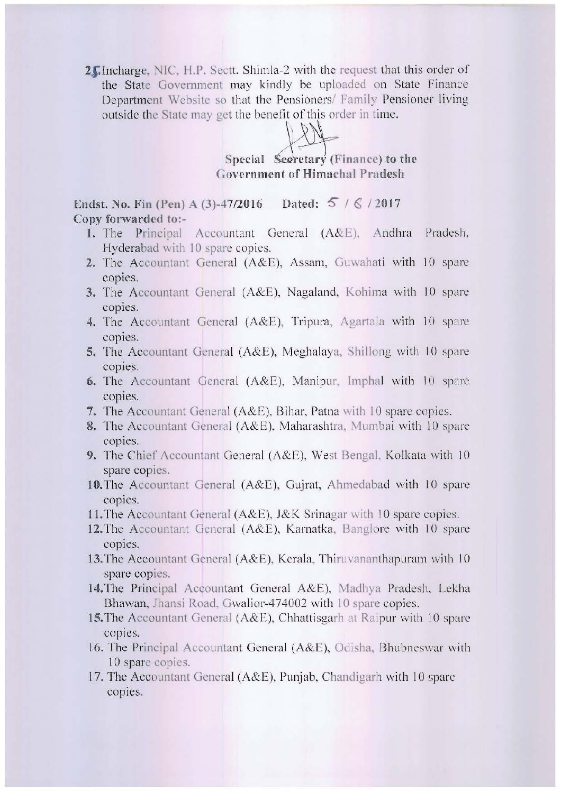2 Hincharge, NIC, H.P. Sectt. Shimla-2 with the request that this order of the State Government may kindly be uploaded on State Finance Department Website so that the Pensioners/ Family Pensioner living. outside the State may get the benefit of this order in time.

Special Seeretary (Finance) to the Government of Himachal Pradesh

Endst. No. Fin (Pen) A (3)-47/2016 Dated:  $5/6/2017$ Copy forwarded to:-

- 1. The Principal Accountant General (A&E), Andhra Pradesh, Hyderabad with 10 spare copies.
- 2. The Accountant General (A&E), Assam, Guwahati with 10 spare copies.
- 3. The Accountant General (A&E), Nagaland, Kohima with 10 spare copies.
- 4. The Accountant General (A&E), Tripura, Agartala with 10 spare copies.
- 5. The Accountant General (A&E), Meghalaya, Shillong with 10 spare copies.
- 6. The Accountant General  $(A&E)$ , Manipur, Imphal with 10 spare copies.
- 7. The Accountant General ( $A\&E$ ), Bihar, Patna with 10 spare copies.
- 8. The Accountant General (A&E), Maharashtra, Mumbai with 10 spare copies.
- 9. The Chief Accountant General (A&E), West Bengal, Kolkata with 10 spare copies.
- 10. The Accountant General (A&E), Gujrat, Ahmedabad with 10 spare copies.
- 11. The Accountant General (A&E), J&K Srinagar with 10 spare copies.
- 12. The Accountant General (A&E), Karnatka, Banglore with  $10$  spare copies.
- 13. The Accountant General (A&E), Kerala, Thiruvananthapuram with  $10$ spare copies.
- 14. The Principal Accountant General A&E), Madhya Pradesh, Lekha Bhawan, Jhansi Road, Gwalior-474002 with 10 spare copies.
- 15. The Accountant General (A&E), Chhattisgarh at Raipur with 10 spare copies.
- 16. The Principal Accountant General (A&E), Odisha, Bhubneswar with 10 spare copies.
- 17. The Accountant General (A&E), Punjab, Chandigarh with 10 spare copies.